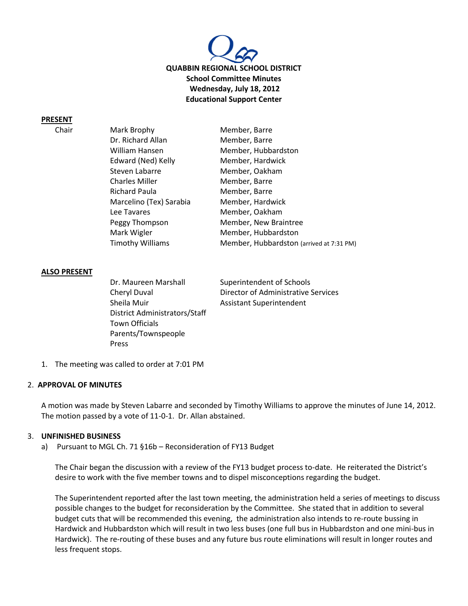

### **PRESENT**

| Chair | Mark Brophy             | Member, Barre                            |  |
|-------|-------------------------|------------------------------------------|--|
|       | Dr. Richard Allan       | Member, Barre                            |  |
|       | William Hansen          | Member, Hubbardston                      |  |
|       | Edward (Ned) Kelly      | Member, Hardwick                         |  |
|       | Steven Labarre          | Member, Oakham                           |  |
|       | <b>Charles Miller</b>   | Member, Barre                            |  |
|       | Richard Paula           | Member, Barre                            |  |
|       | Marcelino (Tex) Sarabia | Member, Hardwick                         |  |
|       | Lee Tavares             | Member, Oakham                           |  |
|       | Peggy Thompson          | Member, New Braintree                    |  |
|       | Mark Wigler             | Member, Hubbardston                      |  |
|       | <b>Timothy Williams</b> | Member, Hubbardston (arrived at 7:31 PM) |  |

### **ALSO PRESENT**

Dr. Maureen Marshall Superintendent of Schools Sheila Muir **Assistant Superintendent** District Administrators/Staff Town Officials Parents/Townspeople Press

Cheryl Duval Director of Administrative Services

1. The meeting was called to order at 7:01 PM

#### 2. **APPROVAL OF MINUTES**

A motion was made by Steven Labarre and seconded by Timothy Williams to approve the minutes of June 14, 2012. The motion passed by a vote of 11-0-1. Dr. Allan abstained.

#### 3. **UNFINISHED BUSINESS**

a) Pursuant to MGL Ch. 71 §16b – Reconsideration of FY13 Budget

The Chair began the discussion with a review of the FY13 budget process to-date. He reiterated the District's desire to work with the five member towns and to dispel misconceptions regarding the budget.

The Superintendent reported after the last town meeting, the administration held a series of meetings to discuss possible changes to the budget for reconsideration by the Committee. She stated that in addition to several budget cuts that will be recommended this evening, the administration also intends to re-route bussing in Hardwick and Hubbardston which will result in two less buses (one full bus in Hubbardston and one mini-bus in Hardwick). The re-routing of these buses and any future bus route eliminations will result in longer routes and less frequent stops.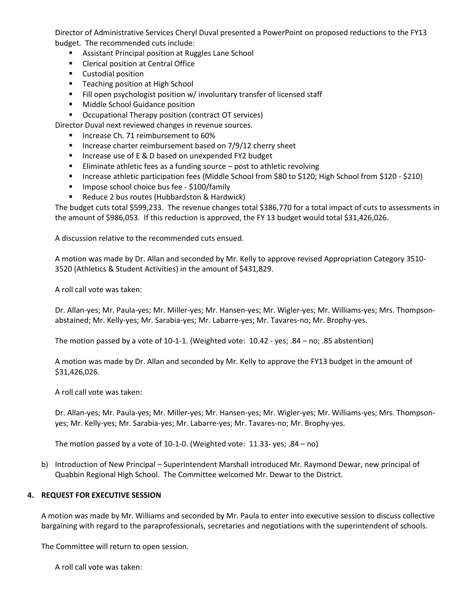Director of Administrative Services Cheryl Duval presented a PowerPoint on proposed reductions to the FY13 budget. The recommended cuts include:

- **Assistant Principal position at Ruggles Lane School**
- **EXECUTE:** Clerical position at Central Office
- **Custodial position**
- **Teaching position at High School**
- Fill open psychologist position w/ involuntary transfer of licensed staff
- **Middle School Guidance position**
- **•** Occupational Therapy position (contract OT services)
- Director Duval next reviewed changes in revenue sources.
	- **Increase Ch. 71 reimbursement to 60%**
	- **Increase charter reimbursement based on 7/9/12 cherry sheet**
	- Increase use of E & D based on unexpended FY2 budget
	- Eliminate athletic fees as a funding source  $-$  post to athletic revolving
	- Increase athletic participation fees (Middle School from \$80 to \$120; High School from \$120 \$210)
	- **IMPOSE SCHOOL CHOICE bus fee \$100/family**
	- Reduce 2 bus routes (Hubbardston & Hardwick)

The budget cuts total \$599,233. The revenue changes total \$386,770 for a total impact of cuts to assessments in the amount of \$986,053. If this reduction is approved, the FY 13 budget would total \$31,426,026.

A discussion relative to the recommended cuts ensued.

A motion was made by Dr. Allan and seconded by Mr. Kelly to approve revised Appropriation Category 3510- 3520 (Athletics & Student Activities) in the amount of \$431,829.

A roll call vote was taken:

Dr. Allan-yes; Mr. Paula-yes; Mr. Miller-yes; Mr. Hansen-yes; Mr. Wigler-yes; Mr. Williams-yes; Mrs. Thompsonabstained; Mr. Kelly-yes; Mr. Sarabia-yes; Mr. Labarre-yes; Mr. Tavares-no; Mr. Brophy-yes.

The motion passed by a vote of 10-1-1. (Weighted vote: 10.42 - yes; .84 – no; .85 abstention)

A motion was made by Dr. Allan and seconded by Mr. Kelly to approve the FY13 budget in the amount of \$31,426,026.

A roll call vote was taken:

Dr. Allan-yes; Mr. Paula-yes; Mr. Miller-yes; Mr. Hansen-yes; Mr. Wigler-yes; Mr. Williams-yes; Mrs. Thompsonyes; Mr. Kelly-yes; Mr. Sarabia-yes; Mr. Labarre-yes; Mr. Tavares-no; Mr. Brophy-yes.

The motion passed by a vote of 10-1-0. (Weighted vote: 11.33- yes; .84 – no)

b) Introduction of New Principal – Superintendent Marshall introduced Mr. Raymond Dewar, new principal of Quabbin Regional High School. The Committee welcomed Mr. Dewar to the District.

# **4. REQUEST FOR EXECUTIVE SESSION**

A motion was made by Mr. Williams and seconded by Mr. Paula to enter into executive session to discuss collective bargaining with regard to the paraprofessionals, secretaries and negotiations with the superintendent of schools.

The Committee will return to open session.

A roll call vote was taken: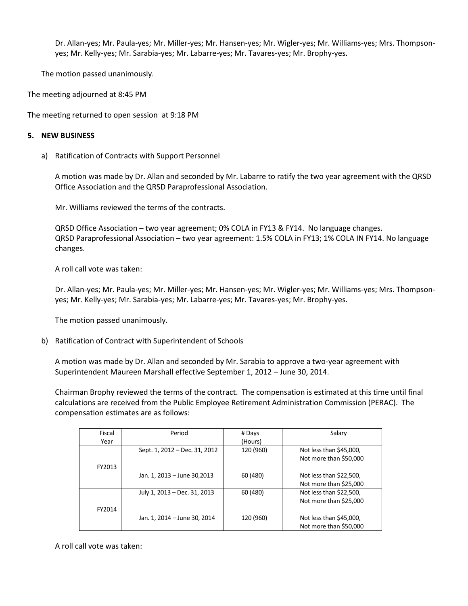Dr. Allan-yes; Mr. Paula-yes; Mr. Miller-yes; Mr. Hansen-yes; Mr. Wigler-yes; Mr. Williams-yes; Mrs. Thompsonyes; Mr. Kelly-yes; Mr. Sarabia-yes; Mr. Labarre-yes; Mr. Tavares-yes; Mr. Brophy-yes.

The motion passed unanimously.

The meeting adjourned at 8:45 PM

The meeting returned to open session at 9:18 PM

### **5. NEW BUSINESS**

a) Ratification of Contracts with Support Personnel

A motion was made by Dr. Allan and seconded by Mr. Labarre to ratify the two year agreement with the QRSD Office Association and the QRSD Paraprofessional Association.

Mr. Williams reviewed the terms of the contracts.

QRSD Office Association – two year agreement; 0% COLA in FY13 & FY14. No language changes. QRSD Paraprofessional Association – two year agreement: 1.5% COLA in FY13; 1% COLA IN FY14. No language changes.

A roll call vote was taken:

Dr. Allan-yes; Mr. Paula-yes; Mr. Miller-yes; Mr. Hansen-yes; Mr. Wigler-yes; Mr. Williams-yes; Mrs. Thompsonyes; Mr. Kelly-yes; Mr. Sarabia-yes; Mr. Labarre-yes; Mr. Tavares-yes; Mr. Brophy-yes.

The motion passed unanimously.

b) Ratification of Contract with Superintendent of Schools

A motion was made by Dr. Allan and seconded by Mr. Sarabia to approve a two-year agreement with Superintendent Maureen Marshall effective September 1, 2012 – June 30, 2014.

Chairman Brophy reviewed the terms of the contract. The compensation is estimated at this time until final calculations are received from the Public Employee Retirement Administration Commission (PERAC). The compensation estimates are as follows:

| Fiscal | Period                        | # Days    | Salary                  |
|--------|-------------------------------|-----------|-------------------------|
| Year   |                               | (Hours)   |                         |
|        | Sept. 1, 2012 – Dec. 31, 2012 | 120 (960) | Not less than \$45,000, |
|        |                               |           | Not more than \$50,000  |
| FY2013 |                               |           |                         |
|        | Jan. 1, 2013 - June 30,2013   | 60 (480)  | Not less than \$22,500, |
|        |                               |           | Not more than \$25,000  |
|        | July 1, 2013 – Dec. 31, 2013  | 60 (480)  | Not less than \$22,500, |
|        |                               |           | Not more than \$25,000  |
| FY2014 |                               |           |                         |
|        | Jan. 1, 2014 - June 30, 2014  | 120 (960) | Not less than \$45,000, |
|        |                               |           | Not more than \$50,000  |

A roll call vote was taken: